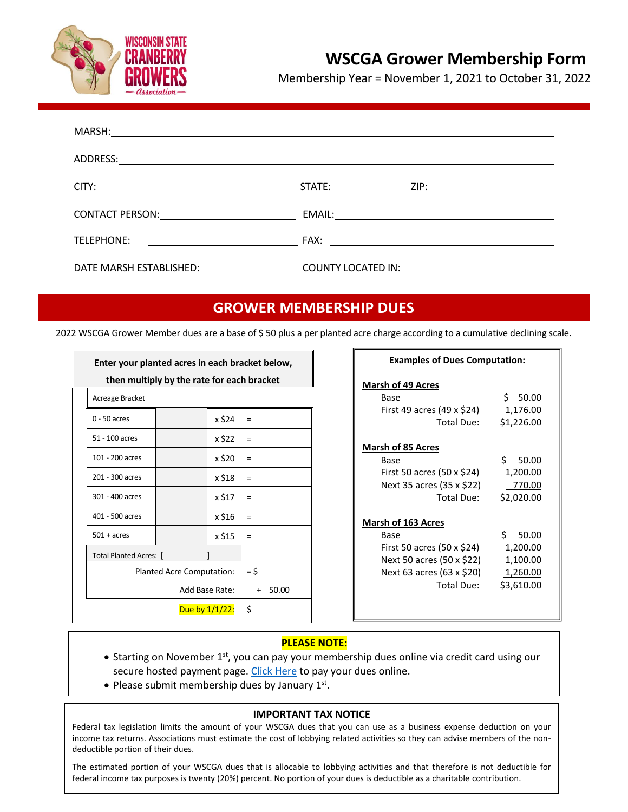

# **WSCGA Grower Membership Form**

Membership Year = November 1, 2021 to October 31, 2022

| ADDRESS:<br><u> 1980 - Johann John Stone, markin f</u>                                                                                                                                                                                        |  |
|-----------------------------------------------------------------------------------------------------------------------------------------------------------------------------------------------------------------------------------------------|--|
| CITY:<br><u>and the contract of the contract of the contract of the contract of the contract of the contract of the contract of the contract of the contract of the contract of the contract of the contract of the contract of the contr</u> |  |
| CONTACT PERSON: <u>________________</u>                                                                                                                                                                                                       |  |
| TELEPHONE:<br><u> 1990 - John Stein, mars and de Branch and de Branch and de Branch and de Branch and de Branch and de Branch an</u>                                                                                                          |  |
| DATE MARSH ESTABLISHED:                                                                                                                                                                                                                       |  |

## **GROWER MEMBERSHIP DUES**

2022 WSCGA Grower Member dues are a base of \$ 50 plus a per planted acre charge according to a cumulative declining scale.

| Enter your planted acres in each bracket below,<br>then multiply by the rate for each bracket |                   |              |  |  |  |  |
|-----------------------------------------------------------------------------------------------|-------------------|--------------|--|--|--|--|
| Acreage Bracket                                                                               |                   |              |  |  |  |  |
| $0 - 50$ acres                                                                                | x \$24            | Ξ            |  |  |  |  |
| 51 - 100 acres                                                                                | x \$22            | =            |  |  |  |  |
| 101 - 200 acres                                                                               | x \$20            | Ξ            |  |  |  |  |
| 201 - 300 acres                                                                               | x \$18            | =            |  |  |  |  |
| 301 - 400 acres                                                                               | x \$17            | Ξ            |  |  |  |  |
| 401 - 500 acres                                                                               | x \$16            | Ξ            |  |  |  |  |
| $501 + \text{acres}$                                                                          | x \$15            | $\equiv$     |  |  |  |  |
| <b>Total Planted Acres:  </b>                                                                 |                   |              |  |  |  |  |
| <b>Planted Acre Computation:</b>                                                              |                   | = \$         |  |  |  |  |
| Add Base Rate:                                                                                |                   | 50.00<br>$+$ |  |  |  |  |
|                                                                                               | Due by $1/1/22$ : | Ś.           |  |  |  |  |

| <b>Examples of Dues Computation:</b> |             |  |  |  |  |
|--------------------------------------|-------------|--|--|--|--|
| <b>Marsh of 49 Acres</b>             |             |  |  |  |  |
| Base                                 | \$ 50.00    |  |  |  |  |
| First 49 acres (49 x \$24)           | 1,176.00    |  |  |  |  |
| Total Due:                           | \$1,226.00  |  |  |  |  |
| <b>Marsh of 85 Acres</b>             |             |  |  |  |  |
| Base                                 | Ś.<br>50.00 |  |  |  |  |
| First 50 acres (50 x \$24)           | 1,200.00    |  |  |  |  |
| Next 35 acres (35 x \$22)            | 770.00      |  |  |  |  |
| Total Due:                           | \$2,020.00  |  |  |  |  |
| <b>Marsh of 163 Acres</b>            |             |  |  |  |  |
| Base                                 | \$50.00     |  |  |  |  |
| First 50 acres (50 x \$24)           | 1,200.00    |  |  |  |  |
| Next 50 acres (50 x \$22)            | 1,100.00    |  |  |  |  |
| Next 63 acres (63 x \$20)            | 1,260.00    |  |  |  |  |
| Total Due:                           | \$3,610.00  |  |  |  |  |
|                                      |             |  |  |  |  |
|                                      |             |  |  |  |  |

### **PLEASE NOTE:**

- Starting on November 1<sup>st</sup>, you can pay your membership dues online via credit card using our secure hosted payment page. [Click Here](https://square.link/u/vuaKFw8W) to pay your dues online.
- Please submit membership dues by January  $1<sup>st</sup>$ .

#### **IMPORTANT TAX NOTICE**

Federal tax legislation limits the amount of your WSCGA dues that you can use as a business expense deduction on your income tax returns. Associations must estimate the cost of lobbying related activities so they can advise members of the nondeductible portion of their dues.

The estimated portion of your WSCGA dues that is allocable to lobbying activities and that therefore is not deductible for federal income tax purposes is twenty (20%) percent. No portion of your dues is deductible as a charitable contribution.